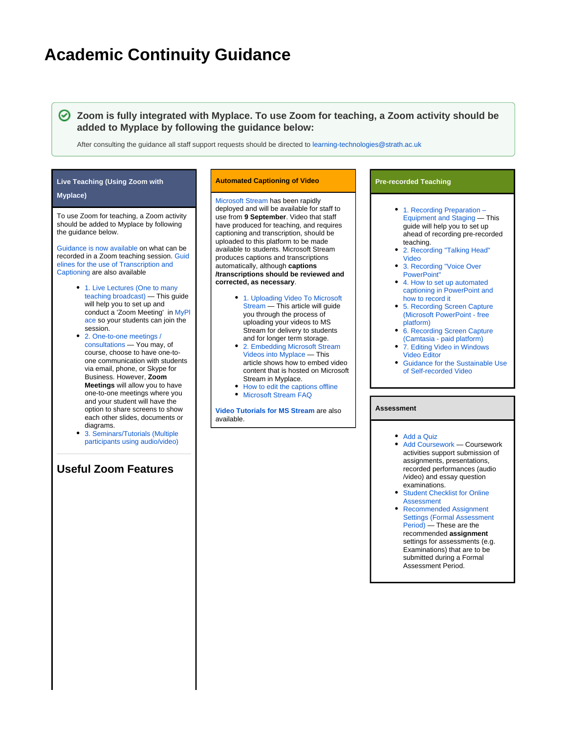# **Academic Continuity Guidance**

**Zoom is fully integrated with Myplace. To use Zoom for teaching, a Zoom activity should be added to Myplace by following the guidance below:**

After consulting the guidance all staff support requests should be directed to [learning-technologies@strath.ac.uk](mailto:learning-technologies@strath.ac.uk)

## **Live Teaching (Using Zoom with**

#### **Myplace)**

To use Zoom for teaching, a Zoom activity should be added to Myplace by following the guidance below.

[Guidance is now available](https://wiki.lte.strath.ac.uk/download/attachments/112230420/Guidelines%20on%20the%20recording%20of%20Zoom%20teaching%20sessions.pdf?version=1&modificationDate=1593699004000&api=v2) on what can be recorded in a Zoom teaching session. [Guid](https://wiki.lte.strath.ac.uk/download/attachments/112230420/Transcriptions%20and%20Captions%20Guidance.pdf?version=4&modificationDate=1630665867000&api=v2) [elines for the use of Transcription and](https://wiki.lte.strath.ac.uk/download/attachments/112230420/Transcriptions%20and%20Captions%20Guidance.pdf?version=4&modificationDate=1630665867000&api=v2)  [Captioning](https://wiki.lte.strath.ac.uk/download/attachments/112230420/Transcriptions%20and%20Captions%20Guidance.pdf?version=4&modificationDate=1630665867000&api=v2) are also available

- 1. Live Lectures (One to many [teaching broadcast\)](https://wiki.lte.strath.ac.uk/pages/viewpage.action?pageId=112820356) — This guide will help you to set up and conduct a 'Zoom Meeting' in [MyPl](https://classes.myplace.strath.ac.uk) [ace](https://classes.myplace.strath.ac.uk) so your students can join the session.
- [2. One-to-one meetings /](https://wiki.lte.strath.ac.uk/pages/viewpage.action?pageId=112820354)  [consultations](https://wiki.lte.strath.ac.uk/pages/viewpage.action?pageId=112820354) — You may, of course, choose to have one-toone communication with students via email, phone, or Skype for Business. However, **Zoom Meetings** will allow you to have one-to-one meetings where you and your student will have the option to share screens to show each other slides, documents or diagrams.
- [3. Seminars/Tutorials \(Multiple](https://wiki.lte.strath.ac.uk/pages/viewpage.action?pageId=112820355)  [participants using audio/video\)](https://wiki.lte.strath.ac.uk/pages/viewpage.action?pageId=112820355)

## **Useful Zoom Features**

#### **Automated Captioning of Video**

[Microsoft Stream](https://web.microsoftstream.com/) has been rapidly deployed and will be available for staff to use from **9 September**. Video that staff have produced for teaching, and requires captioning and transcription, should be uploaded to this platform to be made available to students. Microsoft Stream produces captions and transcriptions automatically, although **captions /transcriptions should be reviewed and corrected, as necessary**.

- [1. Uploading Video To Microsoft](https://wiki.lte.strath.ac.uk/display/MS/1.+Uploading+Video+To+Microsoft+Stream)  [Stream](https://wiki.lte.strath.ac.uk/display/MS/1.+Uploading+Video+To+Microsoft+Stream) — This article will guide you through the process of uploading your videos to MS Stream for delivery to students and for longer term storage.
- [2. Embedding Microsoft Stream](https://wiki.lte.strath.ac.uk/display/MS/2.+Embedding+Microsoft+Stream+Videos+into+Myplace)  [Videos into Myplace](https://wiki.lte.strath.ac.uk/display/MS/2.+Embedding+Microsoft+Stream+Videos+into+Myplace) — This article shows how to embed video content that is hosted on Microsoft Stream in Myplace.
- [How to edit the captions offline](https://wiki.lte.strath.ac.uk/display/MS/How+to+edit+the+captions+offline) **• [Microsoft Stream FAQ](https://wiki.lte.strath.ac.uk/display/MS/Microsoft+Stream+FAQ)**

**[Video Tutorials for MS Stream](https://web.microsoftstream.com/channel/90058956-9eef-486e-a1c9-4dadaf6933c0)** are also available.

#### **Pre-recorded Teaching**

- 1. Recording Preparation -[Equipment and Staging](https://wiki.lte.strath.ac.uk/pages/viewpage.action?pageId=112820345) — This guide will help you to set up ahead of recording pre-recorded teaching.
- [2. Recording "Talking Head"](https://wiki.lte.strath.ac.uk/pages/viewpage.action?pageId=113377362)  [Video](https://wiki.lte.strath.ac.uk/pages/viewpage.action?pageId=113377362)
- [3. Recording "Voice Over](https://wiki.lte.strath.ac.uk/pages/viewpage.action?pageId=113377381)  [PowerPoint"](https://wiki.lte.strath.ac.uk/pages/viewpage.action?pageId=113377381)
- [4. How to set up automated](https://wiki.lte.strath.ac.uk/display/MS/4.+How+to+set+up+automated+captioning+in+PowerPoint+and+how+to+record+it)  [captioning in PowerPoint and](https://wiki.lte.strath.ac.uk/display/MS/4.+How+to+set+up+automated+captioning+in+PowerPoint+and+how+to+record+it)  [how to record it](https://wiki.lte.strath.ac.uk/display/MS/4.+How+to+set+up+automated+captioning+in+PowerPoint+and+how+to+record+it)
- [5. Recording Screen Capture](https://wiki.lte.strath.ac.uk/pages/viewpage.action?pageId=157024274)  [\(Microsoft PowerPoint - free](https://wiki.lte.strath.ac.uk/pages/viewpage.action?pageId=157024274)  [platform\)](https://wiki.lte.strath.ac.uk/pages/viewpage.action?pageId=157024274)
- [6. Recording Screen Capture](https://wiki.lte.strath.ac.uk/pages/viewpage.action?pageId=113377396)  [\(Camtasia - paid platform\)](https://wiki.lte.strath.ac.uk/pages/viewpage.action?pageId=113377396)
- [7. Editing Video in Windows](https://wiki.lte.strath.ac.uk/display/MS/7.+Editing+Video+in+Windows+Video+Editor)  [Video Editor](https://wiki.lte.strath.ac.uk/display/MS/7.+Editing+Video+in+Windows+Video+Editor)
- [Guidance for the Sustainable Use](https://wiki.lte.strath.ac.uk/display/MS/Guidance+for+the+Sustainable+Use+of+Self-recorded+Video)  [of Self-recorded Video](https://wiki.lte.strath.ac.uk/display/MS/Guidance+for+the+Sustainable+Use+of+Self-recorded+Video)

#### **Assessment**

#### • [Add a Quiz](https://wiki.lte.strath.ac.uk/display/MS/Add+a+Quiz)

- [Add Coursework](https://wiki.lte.strath.ac.uk/display/MS/Add+Coursework) Coursework activities support submission of assignments, presentations, recorded performances (audio /video) and essay question examinations.
- [Student Checklist for Online](https://wiki.lte.strath.ac.uk/display/MS/Student+Checklist+for+Online+Assessment)  [Assessment](https://wiki.lte.strath.ac.uk/display/MS/Student+Checklist+for+Online+Assessment)
- [Recommended Assignment](https://wiki.lte.strath.ac.uk/pages/viewpage.action?pageId=120029316)  [Settings \(Formal Assessment](https://wiki.lte.strath.ac.uk/pages/viewpage.action?pageId=120029316)  [Period\)](https://wiki.lte.strath.ac.uk/pages/viewpage.action?pageId=120029316) — These are the recommended **assignment** settings for assessments (e.g. Examinations) that are to be submitted during a Formal Assessment Period.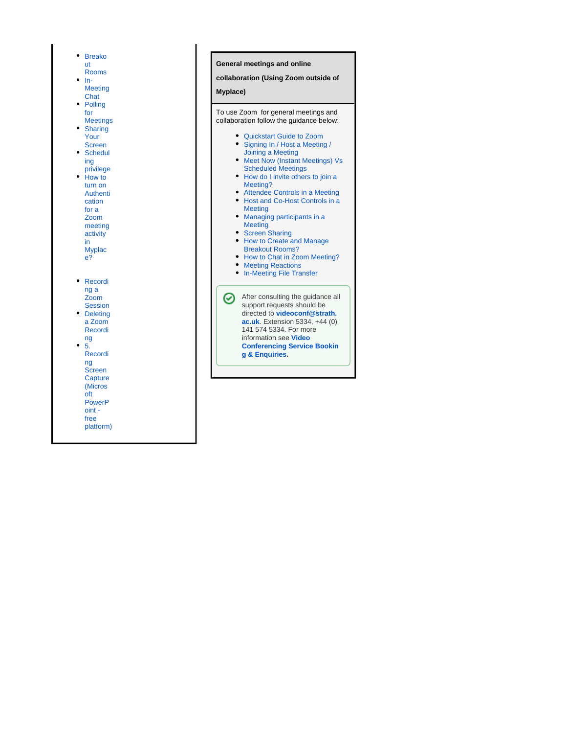| $\bullet$<br>۰<br>$\bullet$<br>$\bullet$<br>$\bullet$ | <b>Breako</b><br>ut<br>Rooms<br>In-<br><b>Meeting</b><br>Chat<br>Polling<br>for<br><b>Meetings</b><br><b>Sharing</b><br>Your<br><b>Screen</b><br>Schedul<br>ing<br>privilege<br>How to<br>turn on<br><b>Authenti</b><br>cation<br>for a<br>Zoom<br>meeting<br>activity<br>in<br><b>Myplac</b><br>e? |
|-------------------------------------------------------|-----------------------------------------------------------------------------------------------------------------------------------------------------------------------------------------------------------------------------------------------------------------------------------------------------|
| $\bullet$                                             | Recordi                                                                                                                                                                                                                                                                                             |
|                                                       | ng a<br>Zoom                                                                                                                                                                                                                                                                                        |
|                                                       | <b>Session</b><br><b>Deleting</b>                                                                                                                                                                                                                                                                   |
|                                                       | a Zoom<br>Recordi                                                                                                                                                                                                                                                                                   |
| $\bullet$                                             | ng<br>5.                                                                                                                                                                                                                                                                                            |
|                                                       | Recordi<br>ng                                                                                                                                                                                                                                                                                       |
|                                                       | Screen                                                                                                                                                                                                                                                                                              |
|                                                       | Capture                                                                                                                                                                                                                                                                                             |
|                                                       | (Micros<br>oft                                                                                                                                                                                                                                                                                      |
|                                                       | <b>PowerP</b>                                                                                                                                                                                                                                                                                       |
|                                                       | oint -                                                                                                                                                                                                                                                                                              |
|                                                       | free<br>platform)                                                                                                                                                                                                                                                                                   |
|                                                       |                                                                                                                                                                                                                                                                                                     |